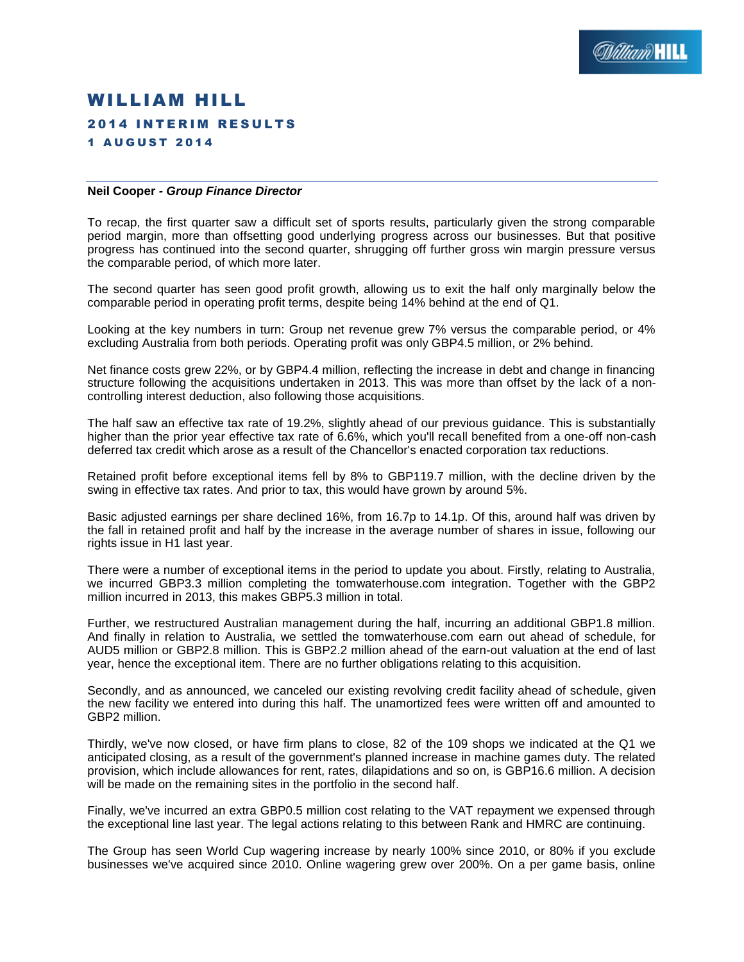

# WILLIAM HILL **2014 INTERIM RESULTS** 1 A U G U S T 2 0 1 4

#### **Neil Cooper** *- Group Finance Director*

To recap, the first quarter saw a difficult set of sports results, particularly given the strong comparable period margin, more than offsetting good underlying progress across our businesses. But that positive progress has continued into the second quarter, shrugging off further gross win margin pressure versus the comparable period, of which more later.

The second quarter has seen good profit growth, allowing us to exit the half only marginally below the comparable period in operating profit terms, despite being 14% behind at the end of Q1.

Looking at the key numbers in turn: Group net revenue grew 7% versus the comparable period, or 4% excluding Australia from both periods. Operating profit was only GBP4.5 million, or 2% behind.

Net finance costs grew 22%, or by GBP4.4 million, reflecting the increase in debt and change in financing structure following the acquisitions undertaken in 2013. This was more than offset by the lack of a noncontrolling interest deduction, also following those acquisitions.

The half saw an effective tax rate of 19.2%, slightly ahead of our previous guidance. This is substantially higher than the prior year effective tax rate of 6.6%, which you'll recall benefited from a one-off non-cash deferred tax credit which arose as a result of the Chancellor's enacted corporation tax reductions.

Retained profit before exceptional items fell by 8% to GBP119.7 million, with the decline driven by the swing in effective tax rates. And prior to tax, this would have grown by around 5%.

Basic adjusted earnings per share declined 16%, from 16.7p to 14.1p. Of this, around half was driven by the fall in retained profit and half by the increase in the average number of shares in issue, following our rights issue in H1 last year.

There were a number of exceptional items in the period to update you about. Firstly, relating to Australia, we incurred GBP3.3 million completing the tomwaterhouse.com integration. Together with the GBP2 million incurred in 2013, this makes GBP5.3 million in total.

Further, we restructured Australian management during the half, incurring an additional GBP1.8 million. And finally in relation to Australia, we settled the tomwaterhouse.com earn out ahead of schedule, for AUD5 million or GBP2.8 million. This is GBP2.2 million ahead of the earn-out valuation at the end of last year, hence the exceptional item. There are no further obligations relating to this acquisition.

Secondly, and as announced, we canceled our existing revolving credit facility ahead of schedule, given the new facility we entered into during this half. The unamortized fees were written off and amounted to GBP2 million.

Thirdly, we've now closed, or have firm plans to close, 82 of the 109 shops we indicated at the Q1 we anticipated closing, as a result of the government's planned increase in machine games duty. The related provision, which include allowances for rent, rates, dilapidations and so on, is GBP16.6 million. A decision will be made on the remaining sites in the portfolio in the second half.

Finally, we've incurred an extra GBP0.5 million cost relating to the VAT repayment we expensed through the exceptional line last year. The legal actions relating to this between Rank and HMRC are continuing.

The Group has seen World Cup wagering increase by nearly 100% since 2010, or 80% if you exclude businesses we've acquired since 2010. Online wagering grew over 200%. On a per game basis, online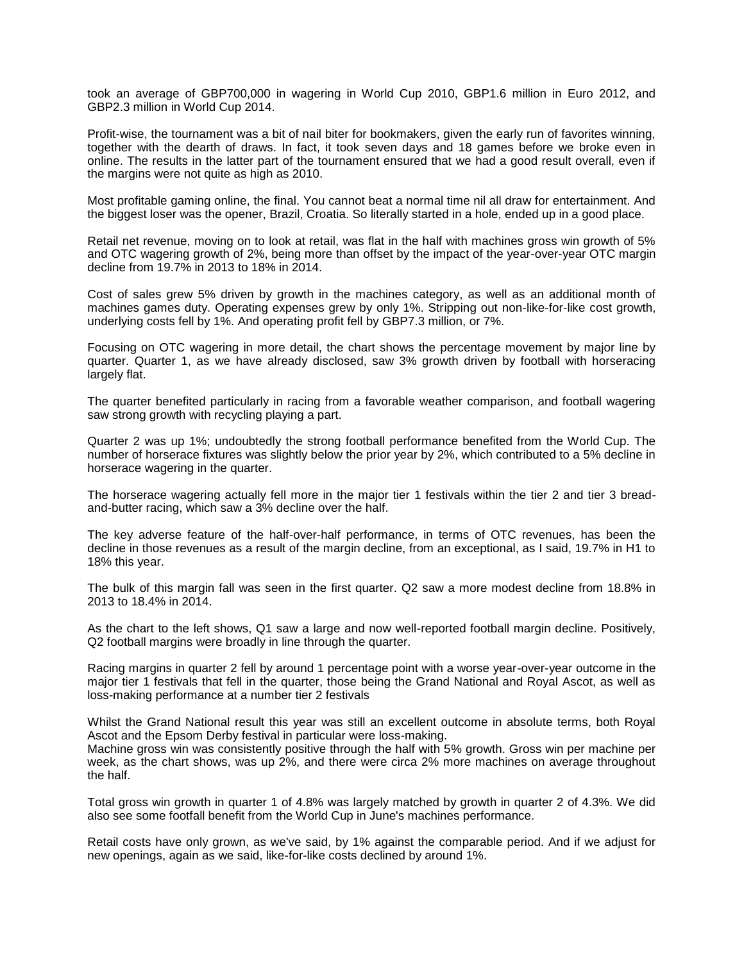took an average of GBP700,000 in wagering in World Cup 2010, GBP1.6 million in Euro 2012, and GBP2.3 million in World Cup 2014.

Profit-wise, the tournament was a bit of nail biter for bookmakers, given the early run of favorites winning, together with the dearth of draws. In fact, it took seven days and 18 games before we broke even in online. The results in the latter part of the tournament ensured that we had a good result overall, even if the margins were not quite as high as 2010.

Most profitable gaming online, the final. You cannot beat a normal time nil all draw for entertainment. And the biggest loser was the opener, Brazil, Croatia. So literally started in a hole, ended up in a good place.

Retail net revenue, moving on to look at retail, was flat in the half with machines gross win growth of 5% and OTC wagering growth of 2%, being more than offset by the impact of the year-over-year OTC margin decline from 19.7% in 2013 to 18% in 2014.

Cost of sales grew 5% driven by growth in the machines category, as well as an additional month of machines games duty. Operating expenses grew by only 1%. Stripping out non-like-for-like cost growth, underlying costs fell by 1%. And operating profit fell by GBP7.3 million, or 7%.

Focusing on OTC wagering in more detail, the chart shows the percentage movement by major line by quarter. Quarter 1, as we have already disclosed, saw 3% growth driven by football with horseracing largely flat.

The quarter benefited particularly in racing from a favorable weather comparison, and football wagering saw strong growth with recycling playing a part.

Quarter 2 was up 1%; undoubtedly the strong football performance benefited from the World Cup. The number of horserace fixtures was slightly below the prior year by 2%, which contributed to a 5% decline in horserace wagering in the quarter.

The horserace wagering actually fell more in the major tier 1 festivals within the tier 2 and tier 3 breadand-butter racing, which saw a 3% decline over the half.

The key adverse feature of the half-over-half performance, in terms of OTC revenues, has been the decline in those revenues as a result of the margin decline, from an exceptional, as I said, 19.7% in H1 to 18% this year.

The bulk of this margin fall was seen in the first quarter. Q2 saw a more modest decline from 18.8% in 2013 to 18.4% in 2014.

As the chart to the left shows, Q1 saw a large and now well-reported football margin decline. Positively, Q2 football margins were broadly in line through the quarter.

Racing margins in quarter 2 fell by around 1 percentage point with a worse year-over-year outcome in the major tier 1 festivals that fell in the quarter, those being the Grand National and Royal Ascot, as well as loss-making performance at a number tier 2 festivals

Whilst the Grand National result this year was still an excellent outcome in absolute terms, both Royal Ascot and the Epsom Derby festival in particular were loss-making.

Machine gross win was consistently positive through the half with 5% growth. Gross win per machine per week, as the chart shows, was up 2%, and there were circa 2% more machines on average throughout the half.

Total gross win growth in quarter 1 of 4.8% was largely matched by growth in quarter 2 of 4.3%. We did also see some footfall benefit from the World Cup in June's machines performance.

Retail costs have only grown, as we've said, by 1% against the comparable period. And if we adjust for new openings, again as we said, like-for-like costs declined by around 1%.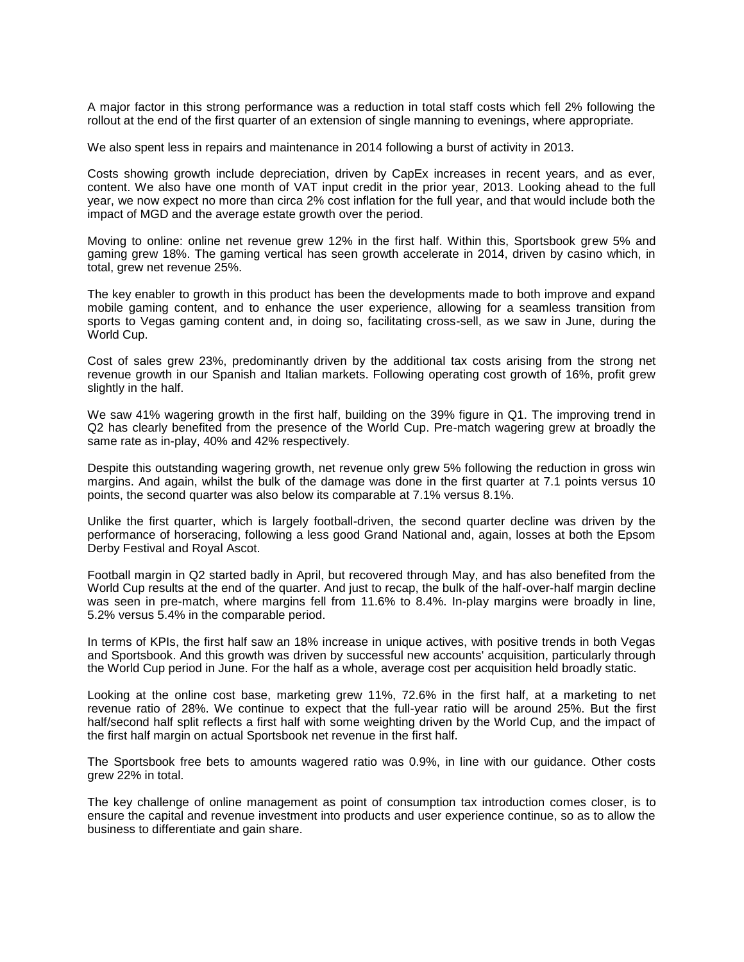A major factor in this strong performance was a reduction in total staff costs which fell 2% following the rollout at the end of the first quarter of an extension of single manning to evenings, where appropriate.

We also spent less in repairs and maintenance in 2014 following a burst of activity in 2013.

Costs showing growth include depreciation, driven by CapEx increases in recent years, and as ever, content. We also have one month of VAT input credit in the prior year, 2013. Looking ahead to the full year, we now expect no more than circa 2% cost inflation for the full year, and that would include both the impact of MGD and the average estate growth over the period.

Moving to online: online net revenue grew 12% in the first half. Within this, Sportsbook grew 5% and gaming grew 18%. The gaming vertical has seen growth accelerate in 2014, driven by casino which, in total, grew net revenue 25%.

The key enabler to growth in this product has been the developments made to both improve and expand mobile gaming content, and to enhance the user experience, allowing for a seamless transition from sports to Vegas gaming content and, in doing so, facilitating cross-sell, as we saw in June, during the World Cup.

Cost of sales grew 23%, predominantly driven by the additional tax costs arising from the strong net revenue growth in our Spanish and Italian markets. Following operating cost growth of 16%, profit grew slightly in the half.

We saw 41% wagering growth in the first half, building on the 39% figure in Q1. The improving trend in Q2 has clearly benefited from the presence of the World Cup. Pre-match wagering grew at broadly the same rate as in-play, 40% and 42% respectively.

Despite this outstanding wagering growth, net revenue only grew 5% following the reduction in gross win margins. And again, whilst the bulk of the damage was done in the first quarter at 7.1 points versus 10 points, the second quarter was also below its comparable at 7.1% versus 8.1%.

Unlike the first quarter, which is largely football-driven, the second quarter decline was driven by the performance of horseracing, following a less good Grand National and, again, losses at both the Epsom Derby Festival and Royal Ascot.

Football margin in Q2 started badly in April, but recovered through May, and has also benefited from the World Cup results at the end of the quarter. And just to recap, the bulk of the half-over-half margin decline was seen in pre-match, where margins fell from 11.6% to 8.4%. In-play margins were broadly in line, 5.2% versus 5.4% in the comparable period.

In terms of KPIs, the first half saw an 18% increase in unique actives, with positive trends in both Vegas and Sportsbook. And this growth was driven by successful new accounts' acquisition, particularly through the World Cup period in June. For the half as a whole, average cost per acquisition held broadly static.

Looking at the online cost base, marketing grew 11%, 72.6% in the first half, at a marketing to net revenue ratio of 28%. We continue to expect that the full-year ratio will be around 25%. But the first half/second half split reflects a first half with some weighting driven by the World Cup, and the impact of the first half margin on actual Sportsbook net revenue in the first half.

The Sportsbook free bets to amounts wagered ratio was 0.9%, in line with our guidance. Other costs grew 22% in total.

The key challenge of online management as point of consumption tax introduction comes closer, is to ensure the capital and revenue investment into products and user experience continue, so as to allow the business to differentiate and gain share.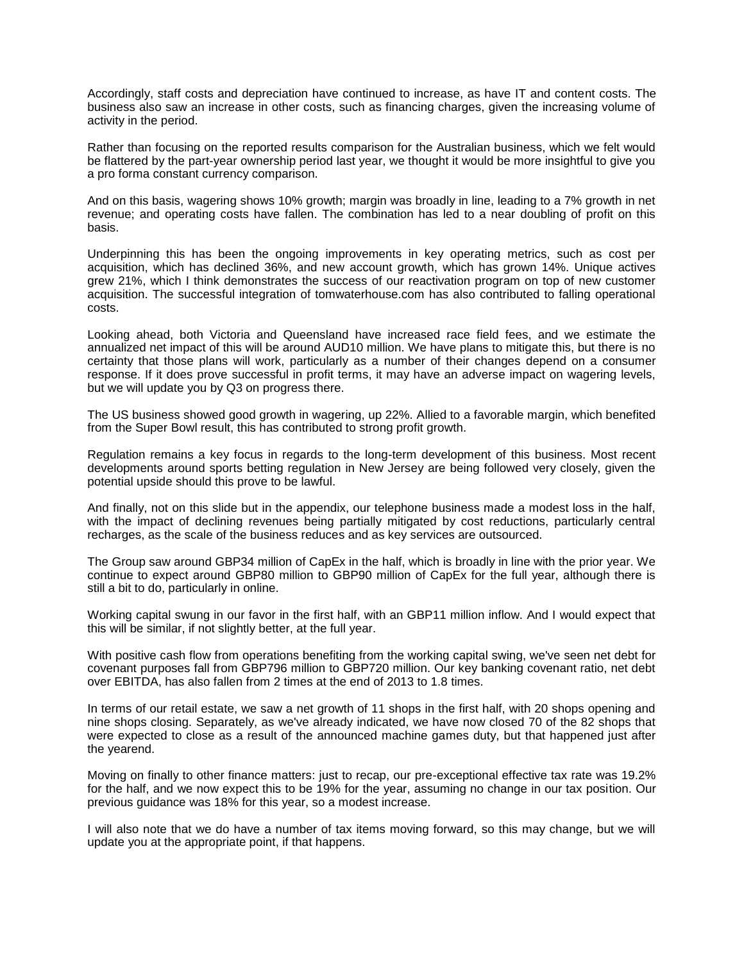Accordingly, staff costs and depreciation have continued to increase, as have IT and content costs. The business also saw an increase in other costs, such as financing charges, given the increasing volume of activity in the period.

Rather than focusing on the reported results comparison for the Australian business, which we felt would be flattered by the part-year ownership period last year, we thought it would be more insightful to give you a pro forma constant currency comparison.

And on this basis, wagering shows 10% growth; margin was broadly in line, leading to a 7% growth in net revenue; and operating costs have fallen. The combination has led to a near doubling of profit on this basis.

Underpinning this has been the ongoing improvements in key operating metrics, such as cost per acquisition, which has declined 36%, and new account growth, which has grown 14%. Unique actives grew 21%, which I think demonstrates the success of our reactivation program on top of new customer acquisition. The successful integration of tomwaterhouse.com has also contributed to falling operational costs.

Looking ahead, both Victoria and Queensland have increased race field fees, and we estimate the annualized net impact of this will be around AUD10 million. We have plans to mitigate this, but there is no certainty that those plans will work, particularly as a number of their changes depend on a consumer response. If it does prove successful in profit terms, it may have an adverse impact on wagering levels, but we will update you by Q3 on progress there.

The US business showed good growth in wagering, up 22%. Allied to a favorable margin, which benefited from the Super Bowl result, this has contributed to strong profit growth.

Regulation remains a key focus in regards to the long-term development of this business. Most recent developments around sports betting regulation in New Jersey are being followed very closely, given the potential upside should this prove to be lawful.

And finally, not on this slide but in the appendix, our telephone business made a modest loss in the half, with the impact of declining revenues being partially mitigated by cost reductions, particularly central recharges, as the scale of the business reduces and as key services are outsourced.

The Group saw around GBP34 million of CapEx in the half, which is broadly in line with the prior year. We continue to expect around GBP80 million to GBP90 million of CapEx for the full year, although there is still a bit to do, particularly in online.

Working capital swung in our favor in the first half, with an GBP11 million inflow. And I would expect that this will be similar, if not slightly better, at the full year.

With positive cash flow from operations benefiting from the working capital swing, we've seen net debt for covenant purposes fall from GBP796 million to GBP720 million. Our key banking covenant ratio, net debt over EBITDA, has also fallen from 2 times at the end of 2013 to 1.8 times.

In terms of our retail estate, we saw a net growth of 11 shops in the first half, with 20 shops opening and nine shops closing. Separately, as we've already indicated, we have now closed 70 of the 82 shops that were expected to close as a result of the announced machine games duty, but that happened just after the yearend.

Moving on finally to other finance matters: just to recap, our pre-exceptional effective tax rate was 19.2% for the half, and we now expect this to be 19% for the year, assuming no change in our tax position. Our previous guidance was 18% for this year, so a modest increase.

I will also note that we do have a number of tax items moving forward, so this may change, but we will update you at the appropriate point, if that happens.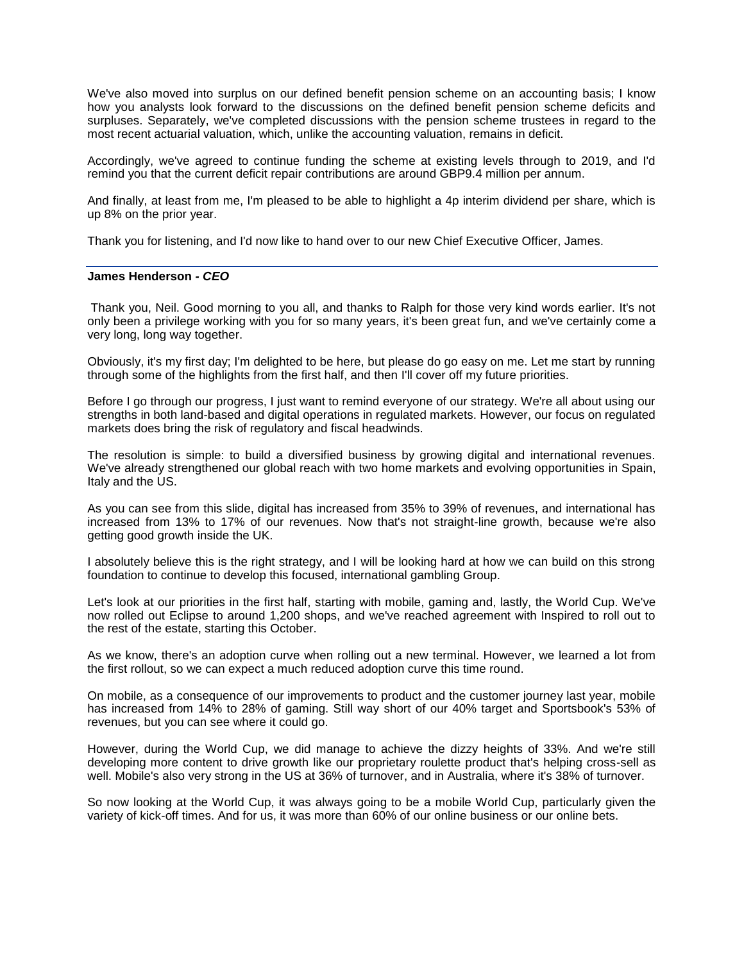We've also moved into surplus on our defined benefit pension scheme on an accounting basis; I know how you analysts look forward to the discussions on the defined benefit pension scheme deficits and surpluses. Separately, we've completed discussions with the pension scheme trustees in regard to the most recent actuarial valuation, which, unlike the accounting valuation, remains in deficit.

Accordingly, we've agreed to continue funding the scheme at existing levels through to 2019, and I'd remind you that the current deficit repair contributions are around GBP9.4 million per annum.

And finally, at least from me, I'm pleased to be able to highlight a 4p interim dividend per share, which is up 8% on the prior year.

Thank you for listening, and I'd now like to hand over to our new Chief Executive Officer, James.

### **James Henderson** *- CEO*

Thank you, Neil. Good morning to you all, and thanks to Ralph for those very kind words earlier. It's not only been a privilege working with you for so many years, it's been great fun, and we've certainly come a very long, long way together.

Obviously, it's my first day; I'm delighted to be here, but please do go easy on me. Let me start by running through some of the highlights from the first half, and then I'll cover off my future priorities.

Before I go through our progress, I just want to remind everyone of our strategy. We're all about using our strengths in both land-based and digital operations in regulated markets. However, our focus on regulated markets does bring the risk of regulatory and fiscal headwinds.

The resolution is simple: to build a diversified business by growing digital and international revenues. We've already strengthened our global reach with two home markets and evolving opportunities in Spain, Italy and the US.

As you can see from this slide, digital has increased from 35% to 39% of revenues, and international has increased from 13% to 17% of our revenues. Now that's not straight-line growth, because we're also getting good growth inside the UK.

I absolutely believe this is the right strategy, and I will be looking hard at how we can build on this strong foundation to continue to develop this focused, international gambling Group.

Let's look at our priorities in the first half, starting with mobile, gaming and, lastly, the World Cup. We've now rolled out Eclipse to around 1,200 shops, and we've reached agreement with Inspired to roll out to the rest of the estate, starting this October.

As we know, there's an adoption curve when rolling out a new terminal. However, we learned a lot from the first rollout, so we can expect a much reduced adoption curve this time round.

On mobile, as a consequence of our improvements to product and the customer journey last year, mobile has increased from 14% to 28% of gaming. Still way short of our 40% target and Sportsbook's 53% of revenues, but you can see where it could go.

However, during the World Cup, we did manage to achieve the dizzy heights of 33%. And we're still developing more content to drive growth like our proprietary roulette product that's helping cross-sell as well. Mobile's also very strong in the US at 36% of turnover, and in Australia, where it's 38% of turnover.

So now looking at the World Cup, it was always going to be a mobile World Cup, particularly given the variety of kick-off times. And for us, it was more than 60% of our online business or our online bets.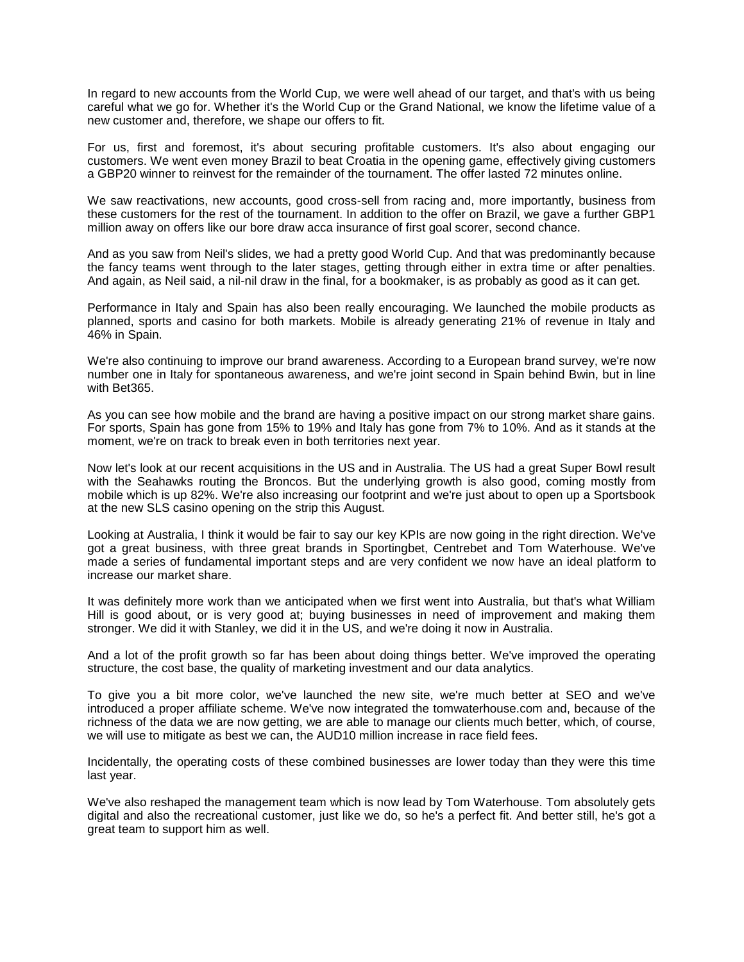In regard to new accounts from the World Cup, we were well ahead of our target, and that's with us being careful what we go for. Whether it's the World Cup or the Grand National, we know the lifetime value of a new customer and, therefore, we shape our offers to fit.

For us, first and foremost, it's about securing profitable customers. It's also about engaging our customers. We went even money Brazil to beat Croatia in the opening game, effectively giving customers a GBP20 winner to reinvest for the remainder of the tournament. The offer lasted 72 minutes online.

We saw reactivations, new accounts, good cross-sell from racing and, more importantly, business from these customers for the rest of the tournament. In addition to the offer on Brazil, we gave a further GBP1 million away on offers like our bore draw acca insurance of first goal scorer, second chance.

And as you saw from Neil's slides, we had a pretty good World Cup. And that was predominantly because the fancy teams went through to the later stages, getting through either in extra time or after penalties. And again, as Neil said, a nil-nil draw in the final, for a bookmaker, is as probably as good as it can get.

Performance in Italy and Spain has also been really encouraging. We launched the mobile products as planned, sports and casino for both markets. Mobile is already generating 21% of revenue in Italy and 46% in Spain.

We're also continuing to improve our brand awareness. According to a European brand survey, we're now number one in Italy for spontaneous awareness, and we're joint second in Spain behind Bwin, but in line with Bet365.

As you can see how mobile and the brand are having a positive impact on our strong market share gains. For sports, Spain has gone from 15% to 19% and Italy has gone from 7% to 10%. And as it stands at the moment, we're on track to break even in both territories next year.

Now let's look at our recent acquisitions in the US and in Australia. The US had a great Super Bowl result with the Seahawks routing the Broncos. But the underlying growth is also good, coming mostly from mobile which is up 82%. We're also increasing our footprint and we're just about to open up a Sportsbook at the new SLS casino opening on the strip this August.

Looking at Australia, I think it would be fair to say our key KPIs are now going in the right direction. We've got a great business, with three great brands in Sportingbet, Centrebet and Tom Waterhouse. We've made a series of fundamental important steps and are very confident we now have an ideal platform to increase our market share.

It was definitely more work than we anticipated when we first went into Australia, but that's what William Hill is good about, or is very good at; buying businesses in need of improvement and making them stronger. We did it with Stanley, we did it in the US, and we're doing it now in Australia.

And a lot of the profit growth so far has been about doing things better. We've improved the operating structure, the cost base, the quality of marketing investment and our data analytics.

To give you a bit more color, we've launched the new site, we're much better at SEO and we've introduced a proper affiliate scheme. We've now integrated the tomwaterhouse.com and, because of the richness of the data we are now getting, we are able to manage our clients much better, which, of course, we will use to mitigate as best we can, the AUD10 million increase in race field fees.

Incidentally, the operating costs of these combined businesses are lower today than they were this time last year.

We've also reshaped the management team which is now lead by Tom Waterhouse. Tom absolutely gets digital and also the recreational customer, just like we do, so he's a perfect fit. And better still, he's got a great team to support him as well.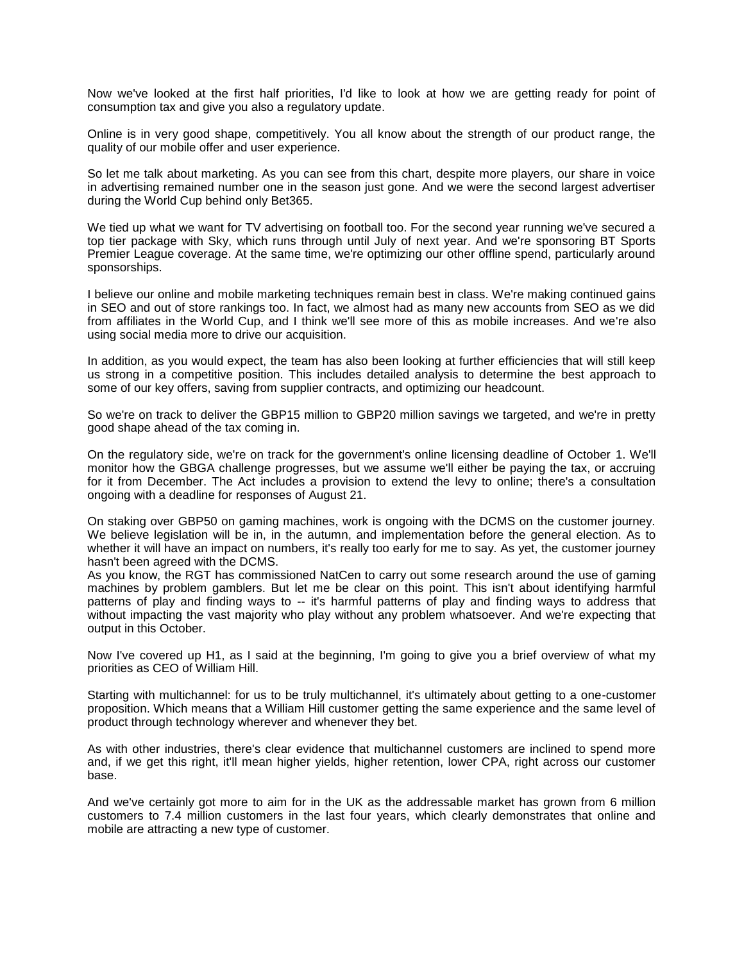Now we've looked at the first half priorities, I'd like to look at how we are getting ready for point of consumption tax and give you also a regulatory update.

Online is in very good shape, competitively. You all know about the strength of our product range, the quality of our mobile offer and user experience.

So let me talk about marketing. As you can see from this chart, despite more players, our share in voice in advertising remained number one in the season just gone. And we were the second largest advertiser during the World Cup behind only Bet365.

We tied up what we want for TV advertising on football too. For the second year running we've secured a top tier package with Sky, which runs through until July of next year. And we're sponsoring BT Sports Premier League coverage. At the same time, we're optimizing our other offline spend, particularly around sponsorships.

I believe our online and mobile marketing techniques remain best in class. We're making continued gains in SEO and out of store rankings too. In fact, we almost had as many new accounts from SEO as we did from affiliates in the World Cup, and I think we'll see more of this as mobile increases. And we're also using social media more to drive our acquisition.

In addition, as you would expect, the team has also been looking at further efficiencies that will still keep us strong in a competitive position. This includes detailed analysis to determine the best approach to some of our key offers, saving from supplier contracts, and optimizing our headcount.

So we're on track to deliver the GBP15 million to GBP20 million savings we targeted, and we're in pretty good shape ahead of the tax coming in.

On the regulatory side, we're on track for the government's online licensing deadline of October 1. We'll monitor how the GBGA challenge progresses, but we assume we'll either be paying the tax, or accruing for it from December. The Act includes a provision to extend the levy to online; there's a consultation ongoing with a deadline for responses of August 21.

On staking over GBP50 on gaming machines, work is ongoing with the DCMS on the customer journey. We believe legislation will be in, in the autumn, and implementation before the general election. As to whether it will have an impact on numbers, it's really too early for me to say. As yet, the customer journey hasn't been agreed with the DCMS.

As you know, the RGT has commissioned NatCen to carry out some research around the use of gaming machines by problem gamblers. But let me be clear on this point. This isn't about identifying harmful patterns of play and finding ways to -- it's harmful patterns of play and finding ways to address that without impacting the vast majority who play without any problem whatsoever. And we're expecting that output in this October.

Now I've covered up H1, as I said at the beginning, I'm going to give you a brief overview of what my priorities as CEO of William Hill.

Starting with multichannel: for us to be truly multichannel, it's ultimately about getting to a one-customer proposition. Which means that a William Hill customer getting the same experience and the same level of product through technology wherever and whenever they bet.

As with other industries, there's clear evidence that multichannel customers are inclined to spend more and, if we get this right, it'll mean higher yields, higher retention, lower CPA, right across our customer base.

And we've certainly got more to aim for in the UK as the addressable market has grown from 6 million customers to 7.4 million customers in the last four years, which clearly demonstrates that online and mobile are attracting a new type of customer.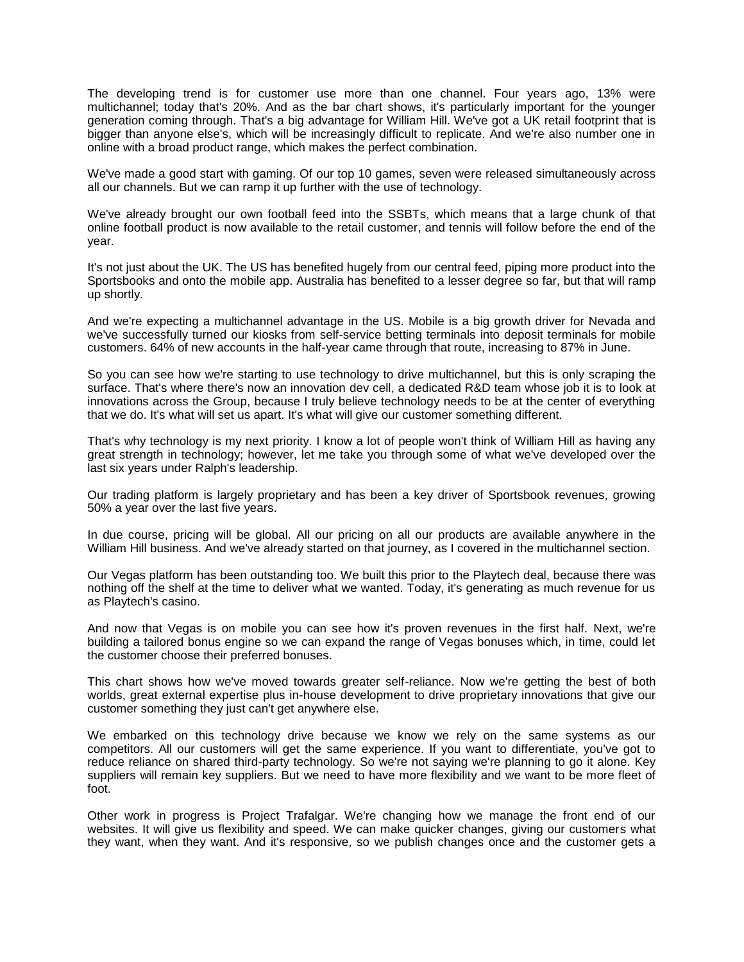The developing trend is for customer use more than one channel. Four years ago, 13% were multichannel; today that's 20%. And as the bar chart shows, it's particularly important for the younger generation coming through. That's a big advantage for William Hill. We've got a UK retail footprint that is bigger than anyone else's, which will be increasingly difficult to replicate. And we're also number one in online with a broad product range, which makes the perfect combination.

We've made a good start with gaming. Of our top 10 games, seven were released simultaneously across all our channels. But we can ramp it up further with the use of technology.

We've already brought our own football feed into the SSBTs, which means that a large chunk of that online football product is now available to the retail customer, and tennis will follow before the end of the year.

It's not just about the UK. The US has benefited hugely from our central feed, piping more product into the Sportsbooks and onto the mobile app. Australia has benefited to a lesser degree so far, but that will ramp up shortly.

And we're expecting a multichannel advantage in the US. Mobile is a big growth driver for Nevada and we've successfully turned our kiosks from self-service betting terminals into deposit terminals for mobile customers. 64% of new accounts in the half-year came through that route, increasing to 87% in June.

So you can see how we're starting to use technology to drive multichannel, but this is only scraping the surface. That's where there's now an innovation dev cell, a dedicated R&D team whose job it is to look at innovations across the Group, because I truly believe technology needs to be at the center of everything that we do. It's what will set us apart. It's what will give our customer something different.

That's why technology is my next priority. I know a lot of people won't think of William Hill as having any great strength in technology; however, let me take you through some of what we've developed over the last six years under Ralph's leadership.

Our trading platform is largely proprietary and has been a key driver of Sportsbook revenues, growing 50% a year over the last five years.

In due course, pricing will be global. All our pricing on all our products are available anywhere in the William Hill business. And we've already started on that journey, as I covered in the multichannel section.

Our Vegas platform has been outstanding too. We built this prior to the Playtech deal, because there was nothing off the shelf at the time to deliver what we wanted. Today, it's generating as much revenue for us as Playtech's casino.

And now that Vegas is on mobile you can see how it's proven revenues in the first half. Next, we're building a tailored bonus engine so we can expand the range of Vegas bonuses which, in time, could let the customer choose their preferred bonuses.

This chart shows how we've moved towards greater self-reliance. Now we're getting the best of both worlds, great external expertise plus in-house development to drive proprietary innovations that give our customer something they just can't get anywhere else.

We embarked on this technology drive because we know we rely on the same systems as our competitors. All our customers will get the same experience. If you want to differentiate, you've got to reduce reliance on shared third-party technology. So we're not saying we're planning to go it alone. Key suppliers will remain key suppliers. But we need to have more flexibility and we want to be more fleet of foot.

Other work in progress is Project Trafalgar. We're changing how we manage the front end of our websites. It will give us flexibility and speed. We can make quicker changes, giving our customers what they want, when they want. And it's responsive, so we publish changes once and the customer gets a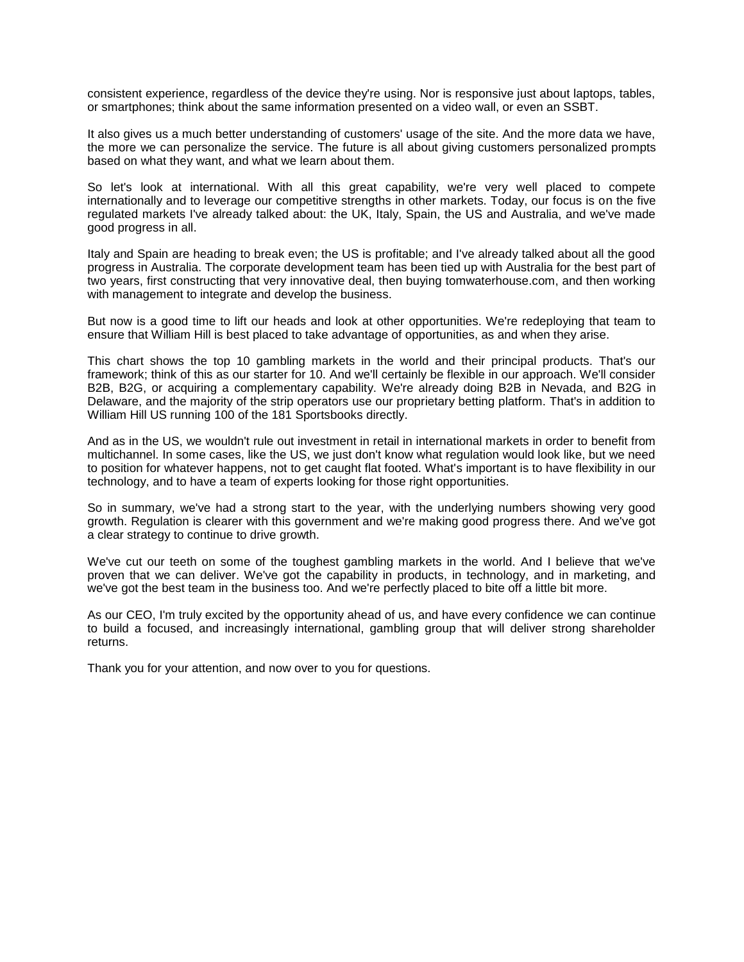consistent experience, regardless of the device they're using. Nor is responsive just about laptops, tables, or smartphones; think about the same information presented on a video wall, or even an SSBT.

It also gives us a much better understanding of customers' usage of the site. And the more data we have, the more we can personalize the service. The future is all about giving customers personalized prompts based on what they want, and what we learn about them.

So let's look at international. With all this great capability, we're very well placed to compete internationally and to leverage our competitive strengths in other markets. Today, our focus is on the five regulated markets I've already talked about: the UK, Italy, Spain, the US and Australia, and we've made good progress in all.

Italy and Spain are heading to break even; the US is profitable; and I've already talked about all the good progress in Australia. The corporate development team has been tied up with Australia for the best part of two years, first constructing that very innovative deal, then buying tomwaterhouse.com, and then working with management to integrate and develop the business.

But now is a good time to lift our heads and look at other opportunities. We're redeploying that team to ensure that William Hill is best placed to take advantage of opportunities, as and when they arise.

This chart shows the top 10 gambling markets in the world and their principal products. That's our framework; think of this as our starter for 10. And we'll certainly be flexible in our approach. We'll consider B2B, B2G, or acquiring a complementary capability. We're already doing B2B in Nevada, and B2G in Delaware, and the majority of the strip operators use our proprietary betting platform. That's in addition to William Hill US running 100 of the 181 Sportsbooks directly.

And as in the US, we wouldn't rule out investment in retail in international markets in order to benefit from multichannel. In some cases, like the US, we just don't know what regulation would look like, but we need to position for whatever happens, not to get caught flat footed. What's important is to have flexibility in our technology, and to have a team of experts looking for those right opportunities.

So in summary, we've had a strong start to the year, with the underlying numbers showing very good growth. Regulation is clearer with this government and we're making good progress there. And we've got a clear strategy to continue to drive growth.

We've cut our teeth on some of the toughest gambling markets in the world. And I believe that we've proven that we can deliver. We've got the capability in products, in technology, and in marketing, and we've got the best team in the business too. And we're perfectly placed to bite off a little bit more.

As our CEO, I'm truly excited by the opportunity ahead of us, and have every confidence we can continue to build a focused, and increasingly international, gambling group that will deliver strong shareholder returns.

Thank you for your attention, and now over to you for questions.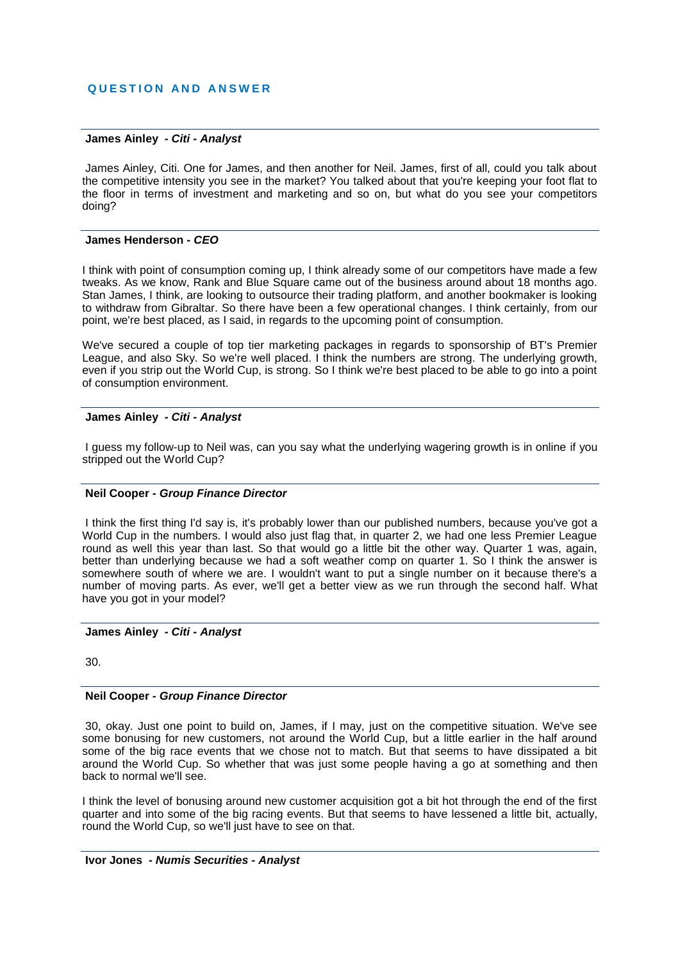### **James Ainley** *- Citi - Analyst*

James Ainley, Citi. One for James, and then another for Neil. James, first of all, could you talk about the competitive intensity you see in the market? You talked about that you're keeping your foot flat to the floor in terms of investment and marketing and so on, but what do you see your competitors doing?

#### **James Henderson** *- CEO*

I think with point of consumption coming up, I think already some of our competitors have made a few tweaks. As we know, Rank and Blue Square came out of the business around about 18 months ago. Stan James, I think, are looking to outsource their trading platform, and another bookmaker is looking to withdraw from Gibraltar. So there have been a few operational changes. I think certainly, from our point, we're best placed, as I said, in regards to the upcoming point of consumption.

We've secured a couple of top tier marketing packages in regards to sponsorship of BT's Premier League, and also Sky. So we're well placed. I think the numbers are strong. The underlying growth, even if you strip out the World Cup, is strong. So I think we're best placed to be able to go into a point of consumption environment.

#### **James Ainley** *- Citi - Analyst*

I guess my follow-up to Neil was, can you say what the underlying wagering growth is in online if you stripped out the World Cup?

#### **Neil Cooper** *- Group Finance Director*

I think the first thing I'd say is, it's probably lower than our published numbers, because you've got a World Cup in the numbers. I would also just flag that, in quarter 2, we had one less Premier League round as well this year than last. So that would go a little bit the other way. Quarter 1 was, again, better than underlying because we had a soft weather comp on quarter 1. So I think the answer is somewhere south of where we are. I wouldn't want to put a single number on it because there's a number of moving parts. As ever, we'll get a better view as we run through the second half. What have you got in your model?

### **James Ainley** *- Citi - Analyst*

30.

### **Neil Cooper** *- Group Finance Director*

30, okay. Just one point to build on, James, if I may, just on the competitive situation. We've see some bonusing for new customers, not around the World Cup, but a little earlier in the half around some of the big race events that we chose not to match. But that seems to have dissipated a bit around the World Cup. So whether that was just some people having a go at something and then back to normal we'll see.

I think the level of bonusing around new customer acquisition got a bit hot through the end of the first quarter and into some of the big racing events. But that seems to have lessened a little bit, actually, round the World Cup, so we'll just have to see on that.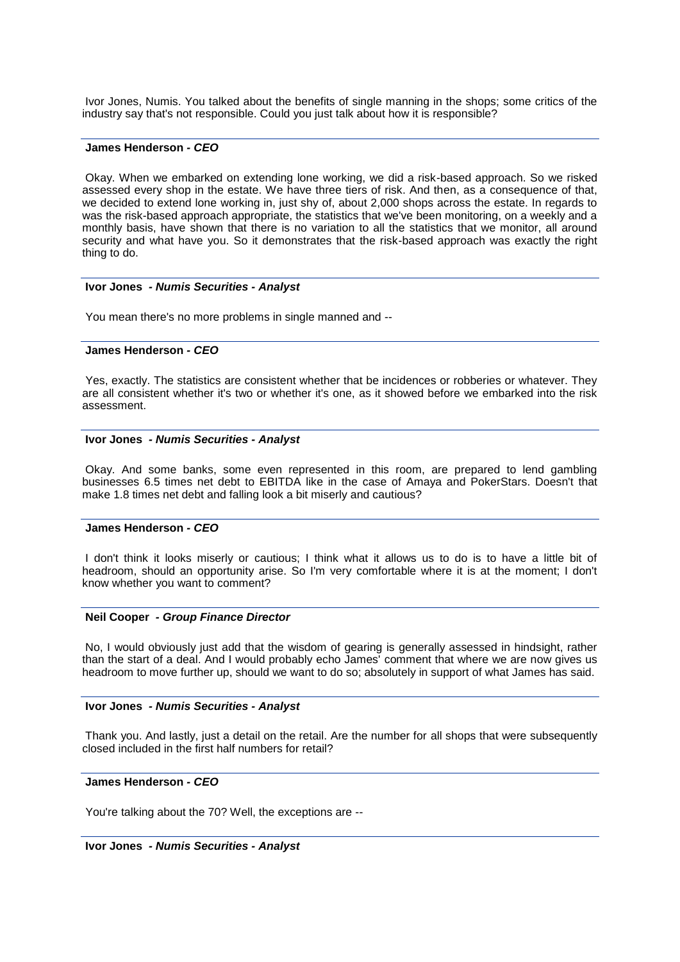Ivor Jones, Numis. You talked about the benefits of single manning in the shops; some critics of the industry say that's not responsible. Could you just talk about how it is responsible?

### **James Henderson** *- CEO*

Okay. When we embarked on extending lone working, we did a risk-based approach. So we risked assessed every shop in the estate. We have three tiers of risk. And then, as a consequence of that, we decided to extend lone working in, just shy of, about 2,000 shops across the estate. In regards to was the risk-based approach appropriate, the statistics that we've been monitoring, on a weekly and a monthly basis, have shown that there is no variation to all the statistics that we monitor, all around security and what have you. So it demonstrates that the risk-based approach was exactly the right thing to do.

### **Ivor Jones** *- Numis Securities - Analyst*

You mean there's no more problems in single manned and --

#### **James Henderson** *- CEO*

Yes, exactly. The statistics are consistent whether that be incidences or robberies or whatever. They are all consistent whether it's two or whether it's one, as it showed before we embarked into the risk assessment.

### **Ivor Jones** *- Numis Securities - Analyst*

Okay. And some banks, some even represented in this room, are prepared to lend gambling businesses 6.5 times net debt to EBITDA like in the case of Amaya and PokerStars. Doesn't that make 1.8 times net debt and falling look a bit miserly and cautious?

## **James Henderson** *- CEO*

I don't think it looks miserly or cautious; I think what it allows us to do is to have a little bit of headroom, should an opportunity arise. So I'm very comfortable where it is at the moment; I don't know whether you want to comment?

#### **Neil Cooper** *- Group Finance Director*

No, I would obviously just add that the wisdom of gearing is generally assessed in hindsight, rather than the start of a deal. And I would probably echo James' comment that where we are now gives us headroom to move further up, should we want to do so; absolutely in support of what James has said.

#### **Ivor Jones** *- Numis Securities - Analyst*

Thank you. And lastly, just a detail on the retail. Are the number for all shops that were subsequently closed included in the first half numbers for retail?

### **James Henderson** *- CEO*

You're talking about the 70? Well, the exceptions are --

**Ivor Jones** *- Numis Securities - Analyst*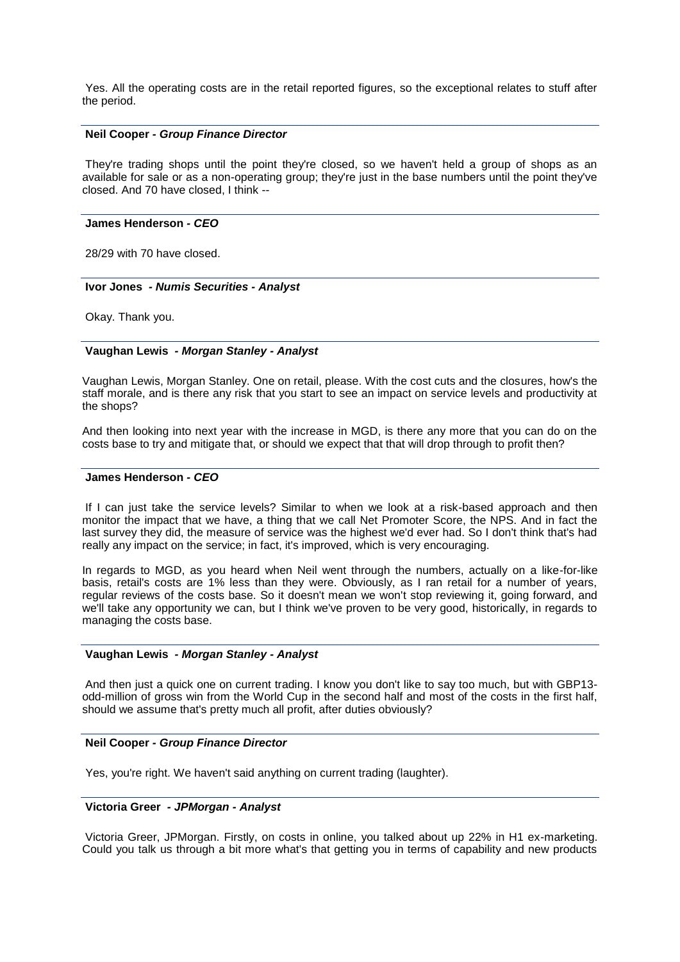Yes. All the operating costs are in the retail reported figures, so the exceptional relates to stuff after the period.

#### **Neil Cooper** *- Group Finance Director*

They're trading shops until the point they're closed, so we haven't held a group of shops as an available for sale or as a non-operating group; they're just in the base numbers until the point they've closed. And 70 have closed, I think --

### **James Henderson** *- CEO*

28/29 with 70 have closed.

#### **Ivor Jones** *- Numis Securities - Analyst*

Okay. Thank you.

### **Vaughan Lewis** *- Morgan Stanley - Analyst*

Vaughan Lewis, Morgan Stanley. One on retail, please. With the cost cuts and the closures, how's the staff morale, and is there any risk that you start to see an impact on service levels and productivity at the shops?

And then looking into next year with the increase in MGD, is there any more that you can do on the costs base to try and mitigate that, or should we expect that that will drop through to profit then?

#### **James Henderson** *- CEO*

If I can just take the service levels? Similar to when we look at a risk-based approach and then monitor the impact that we have, a thing that we call Net Promoter Score, the NPS. And in fact the last survey they did, the measure of service was the highest we'd ever had. So I don't think that's had really any impact on the service; in fact, it's improved, which is very encouraging.

In regards to MGD, as you heard when Neil went through the numbers, actually on a like-for-like basis, retail's costs are 1% less than they were. Obviously, as I ran retail for a number of years, regular reviews of the costs base. So it doesn't mean we won't stop reviewing it, going forward, and we'll take any opportunity we can, but I think we've proven to be very good, historically, in regards to managing the costs base.

### **Vaughan Lewis** *- Morgan Stanley - Analyst*

And then just a quick one on current trading. I know you don't like to say too much, but with GBP13 odd-million of gross win from the World Cup in the second half and most of the costs in the first half, should we assume that's pretty much all profit, after duties obviously?

#### **Neil Cooper** *- Group Finance Director*

Yes, you're right. We haven't said anything on current trading (laughter).

# **Victoria Greer** *- JPMorgan - Analyst*

Victoria Greer, JPMorgan. Firstly, on costs in online, you talked about up 22% in H1 ex-marketing. Could you talk us through a bit more what's that getting you in terms of capability and new products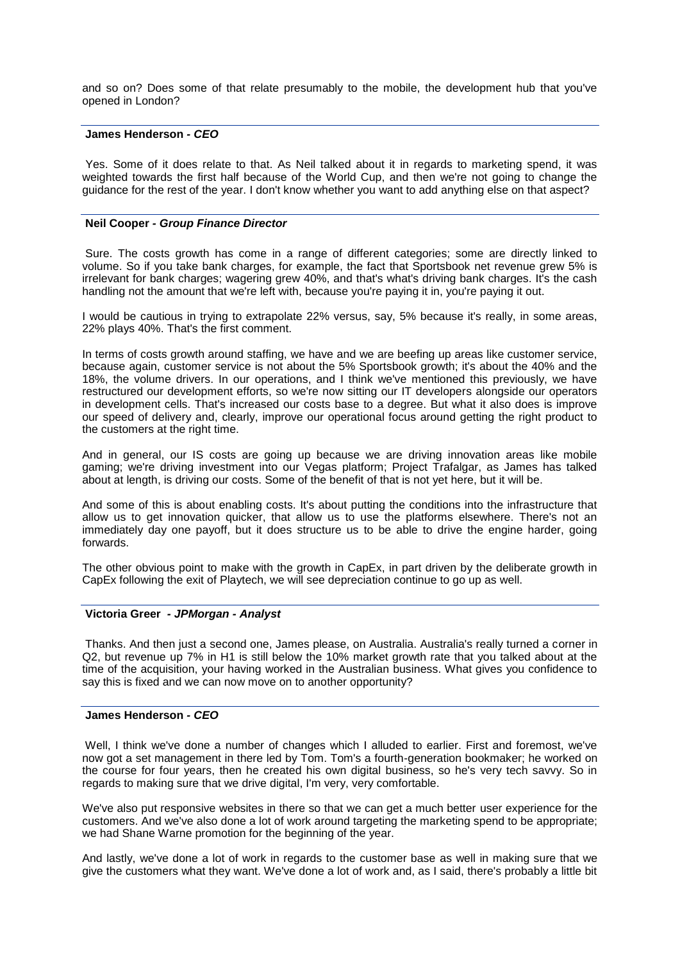and so on? Does some of that relate presumably to the mobile, the development hub that you've opened in London?

### **James Henderson** *- CEO*

Yes. Some of it does relate to that. As Neil talked about it in regards to marketing spend, it was weighted towards the first half because of the World Cup, and then we're not going to change the guidance for the rest of the year. I don't know whether you want to add anything else on that aspect?

#### **Neil Cooper** *- Group Finance Director*

Sure. The costs growth has come in a range of different categories; some are directly linked to volume. So if you take bank charges, for example, the fact that Sportsbook net revenue grew 5% is irrelevant for bank charges; wagering grew 40%, and that's what's driving bank charges. It's the cash handling not the amount that we're left with, because you're paying it in, you're paying it out.

I would be cautious in trying to extrapolate 22% versus, say, 5% because it's really, in some areas, 22% plays 40%. That's the first comment.

In terms of costs growth around staffing, we have and we are beefing up areas like customer service, because again, customer service is not about the 5% Sportsbook growth; it's about the 40% and the 18%, the volume drivers. In our operations, and I think we've mentioned this previously, we have restructured our development efforts, so we're now sitting our IT developers alongside our operators in development cells. That's increased our costs base to a degree. But what it also does is improve our speed of delivery and, clearly, improve our operational focus around getting the right product to the customers at the right time.

And in general, our IS costs are going up because we are driving innovation areas like mobile gaming; we're driving investment into our Vegas platform; Project Trafalgar, as James has talked about at length, is driving our costs. Some of the benefit of that is not yet here, but it will be.

And some of this is about enabling costs. It's about putting the conditions into the infrastructure that allow us to get innovation quicker, that allow us to use the platforms elsewhere. There's not an immediately day one payoff, but it does structure us to be able to drive the engine harder, going forwards.

The other obvious point to make with the growth in CapEx, in part driven by the deliberate growth in CapEx following the exit of Playtech, we will see depreciation continue to go up as well.

#### **Victoria Greer** *- JPMorgan - Analyst*

Thanks. And then just a second one, James please, on Australia. Australia's really turned a corner in Q2, but revenue up 7% in H1 is still below the 10% market growth rate that you talked about at the time of the acquisition, your having worked in the Australian business. What gives you confidence to say this is fixed and we can now move on to another opportunity?

#### **James Henderson** *- CEO*

Well, I think we've done a number of changes which I alluded to earlier. First and foremost, we've now got a set management in there led by Tom. Tom's a fourth-generation bookmaker; he worked on the course for four years, then he created his own digital business, so he's very tech savvy. So in regards to making sure that we drive digital, I'm very, very comfortable.

We've also put responsive websites in there so that we can get a much better user experience for the customers. And we've also done a lot of work around targeting the marketing spend to be appropriate; we had Shane Warne promotion for the beginning of the year.

And lastly, we've done a lot of work in regards to the customer base as well in making sure that we give the customers what they want. We've done a lot of work and, as I said, there's probably a little bit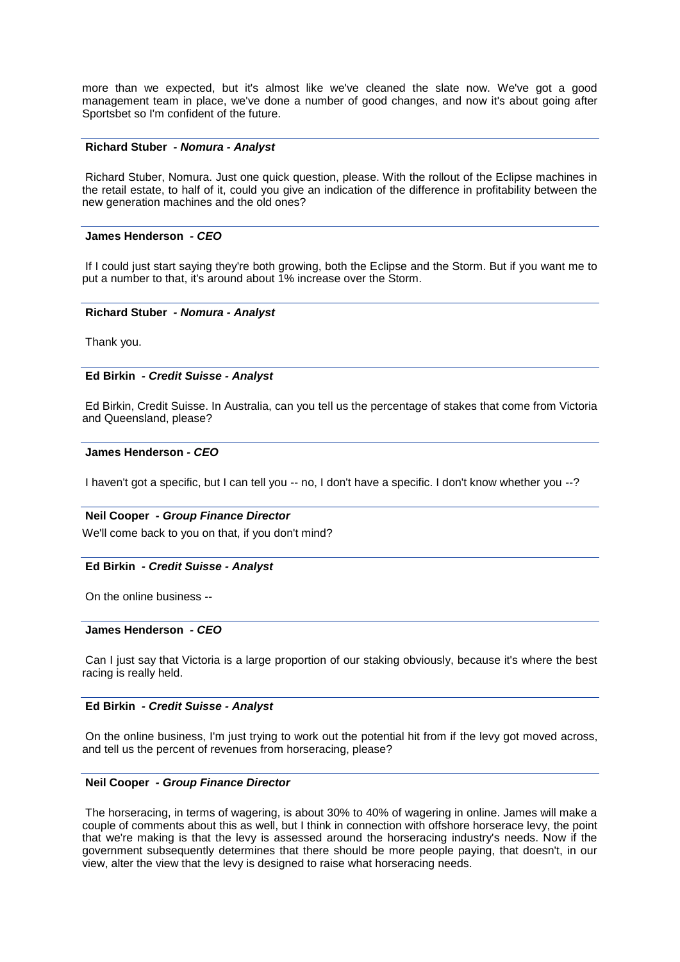more than we expected, but it's almost like we've cleaned the slate now. We've got a good management team in place, we've done a number of good changes, and now it's about going after Sportsbet so I'm confident of the future.

#### **Richard Stuber** *- Nomura - Analyst*

Richard Stuber, Nomura. Just one quick question, please. With the rollout of the Eclipse machines in the retail estate, to half of it, could you give an indication of the difference in profitability between the new generation machines and the old ones?

#### **James Henderson** *- CEO*

If I could just start saying they're both growing, both the Eclipse and the Storm. But if you want me to put a number to that, it's around about 1% increase over the Storm.

#### **Richard Stuber** *- Nomura - Analyst*

Thank you.

#### **Ed Birkin** *- Credit Suisse - Analyst*

Ed Birkin, Credit Suisse. In Australia, can you tell us the percentage of stakes that come from Victoria and Queensland, please?

### **James Henderson** *- CEO*

I haven't got a specific, but I can tell you -- no, I don't have a specific. I don't know whether you --?

#### **Neil Cooper** *- Group Finance Director*

We'll come back to you on that, if you don't mind?

#### **Ed Birkin** *- Credit Suisse - Analyst*

On the online business --

#### **James Henderson** *- CEO*

Can I just say that Victoria is a large proportion of our staking obviously, because it's where the best racing is really held.

### **Ed Birkin** *- Credit Suisse - Analyst*

On the online business, I'm just trying to work out the potential hit from if the levy got moved across, and tell us the percent of revenues from horseracing, please?

### **Neil Cooper** *- Group Finance Director*

The horseracing, in terms of wagering, is about 30% to 40% of wagering in online. James will make a couple of comments about this as well, but I think in connection with offshore horserace levy, the point that we're making is that the levy is assessed around the horseracing industry's needs. Now if the government subsequently determines that there should be more people paying, that doesn't, in our view, alter the view that the levy is designed to raise what horseracing needs.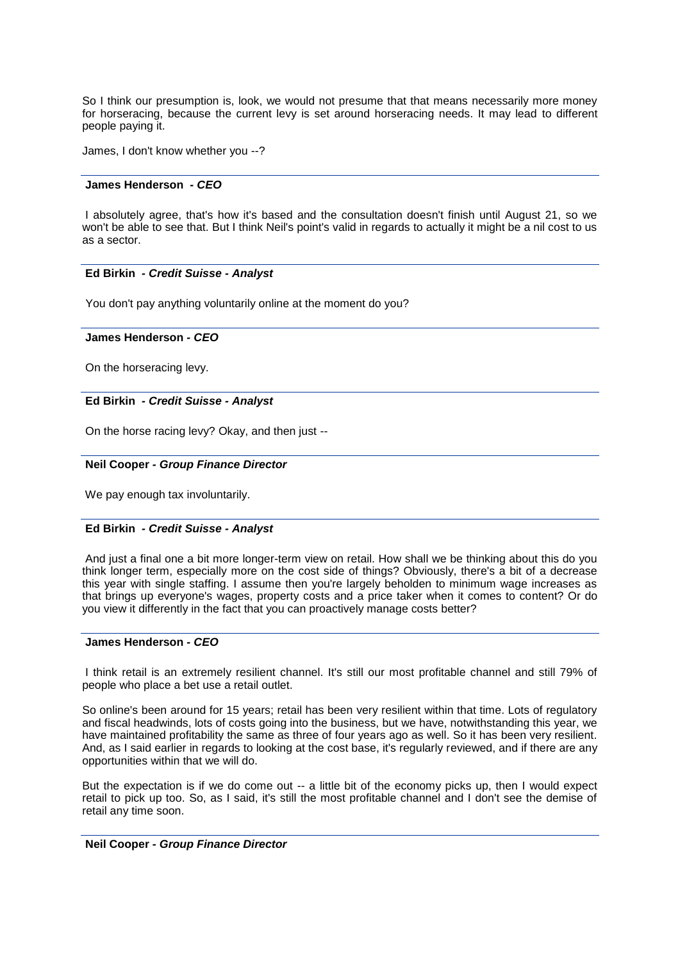So I think our presumption is, look, we would not presume that that means necessarily more money for horseracing, because the current levy is set around horseracing needs. It may lead to different people paying it.

James, I don't know whether you --?

### **James Henderson** *- CEO*

I absolutely agree, that's how it's based and the consultation doesn't finish until August 21, so we won't be able to see that. But I think Neil's point's valid in regards to actually it might be a nil cost to us as a sector.

#### **Ed Birkin** *- Credit Suisse - Analyst*

You don't pay anything voluntarily online at the moment do you?

#### **James Henderson** *- CEO*

On the horseracing levy.

### **Ed Birkin** *- Credit Suisse - Analyst*

On the horse racing levy? Okay, and then just --

#### **Neil Cooper** *- Group Finance Director*

We pay enough tax involuntarily.

### **Ed Birkin** *- Credit Suisse - Analyst*

And just a final one a bit more longer-term view on retail. How shall we be thinking about this do you think longer term, especially more on the cost side of things? Obviously, there's a bit of a decrease this year with single staffing. I assume then you're largely beholden to minimum wage increases as that brings up everyone's wages, property costs and a price taker when it comes to content? Or do you view it differently in the fact that you can proactively manage costs better?

### **James Henderson** *- CEO*

I think retail is an extremely resilient channel. It's still our most profitable channel and still 79% of people who place a bet use a retail outlet.

So online's been around for 15 years; retail has been very resilient within that time. Lots of regulatory and fiscal headwinds, lots of costs going into the business, but we have, notwithstanding this year, we have maintained profitability the same as three of four years ago as well. So it has been very resilient. And, as I said earlier in regards to looking at the cost base, it's regularly reviewed, and if there are any opportunities within that we will do.

But the expectation is if we do come out -- a little bit of the economy picks up, then I would expect retail to pick up too. So, as I said, it's still the most profitable channel and I don't see the demise of retail any time soon.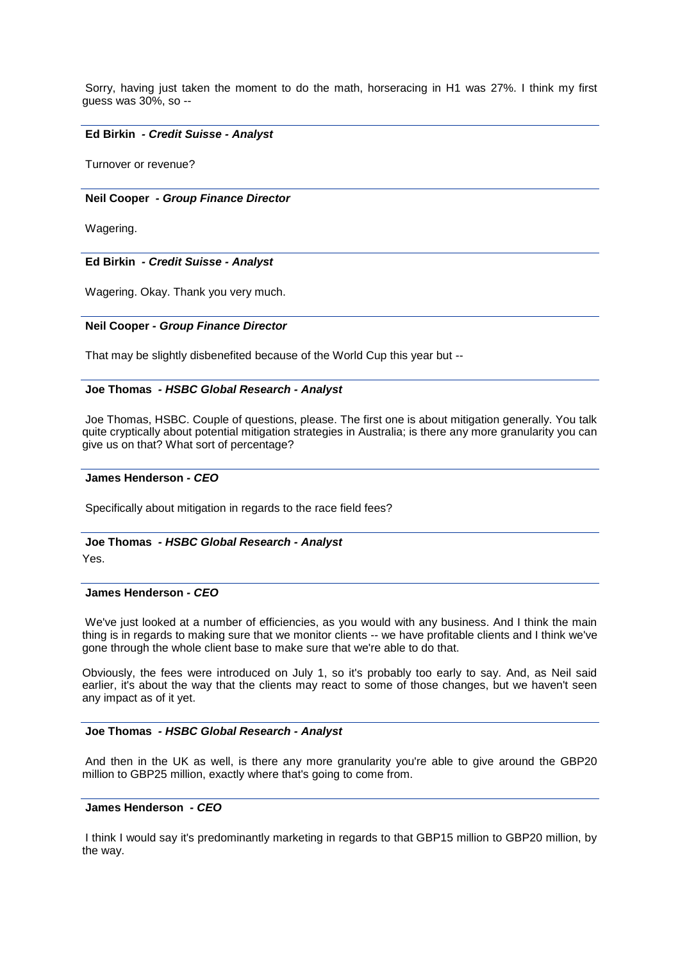Sorry, having just taken the moment to do the math, horseracing in H1 was 27%. I think my first guess was 30%, so --

#### **Ed Birkin** *- Credit Suisse - Analyst*

Turnover or revenue?

#### **Neil Cooper** *- Group Finance Director*

Wagering.

#### **Ed Birkin** *- Credit Suisse - Analyst*

Wagering. Okay. Thank you very much.

#### **Neil Cooper** *- Group Finance Director*

That may be slightly disbenefited because of the World Cup this year but --

#### **Joe Thomas** *- HSBC Global Research - Analyst*

Joe Thomas, HSBC. Couple of questions, please. The first one is about mitigation generally. You talk quite cryptically about potential mitigation strategies in Australia; is there any more granularity you can give us on that? What sort of percentage?

#### **James Henderson** *- CEO*

Specifically about mitigation in regards to the race field fees?

### **Joe Thomas** *- HSBC Global Research - Analyst*

Yes.

#### **James Henderson** *- CEO*

We've just looked at a number of efficiencies, as you would with any business. And I think the main thing is in regards to making sure that we monitor clients -- we have profitable clients and I think we've gone through the whole client base to make sure that we're able to do that.

Obviously, the fees were introduced on July 1, so it's probably too early to say. And, as Neil said earlier, it's about the way that the clients may react to some of those changes, but we haven't seen any impact as of it yet.

# **Joe Thomas** *- HSBC Global Research - Analyst*

And then in the UK as well, is there any more granularity you're able to give around the GBP20 million to GBP25 million, exactly where that's going to come from.

### **James Henderson** *- CEO*

I think I would say it's predominantly marketing in regards to that GBP15 million to GBP20 million, by the way.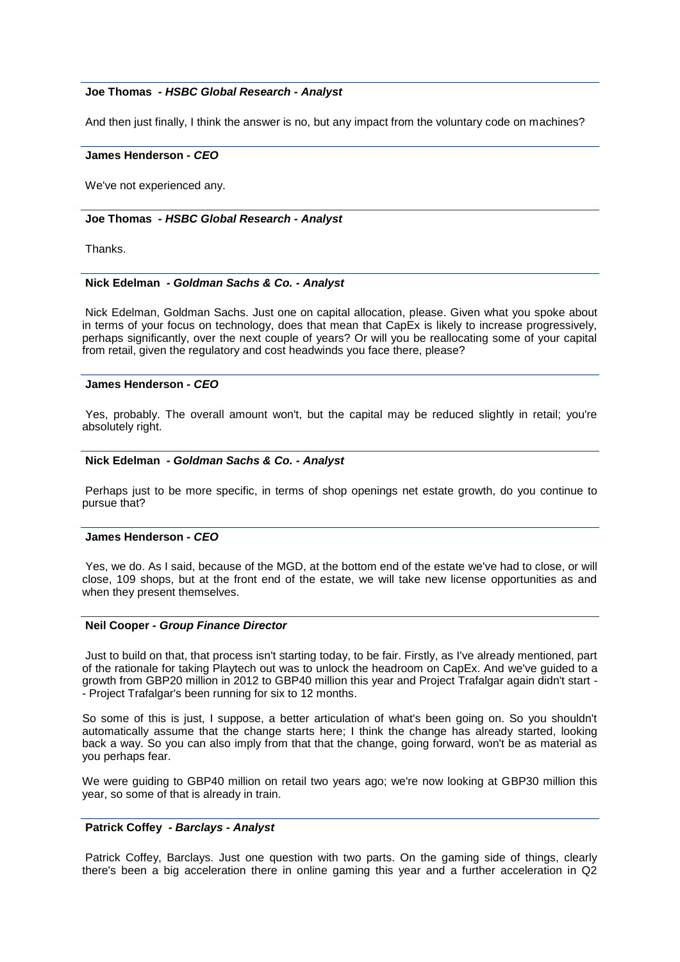### **Joe Thomas** *- HSBC Global Research - Analyst*

And then just finally, I think the answer is no, but any impact from the voluntary code on machines?

#### **James Henderson** *- CEO*

We've not experienced any.

## **Joe Thomas** *- HSBC Global Research - Analyst*

Thanks.

### **Nick Edelman** *- Goldman Sachs & Co. - Analyst*

Nick Edelman, Goldman Sachs. Just one on capital allocation, please. Given what you spoke about in terms of your focus on technology, does that mean that CapEx is likely to increase progressively, perhaps significantly, over the next couple of years? Or will you be reallocating some of your capital from retail, given the regulatory and cost headwinds you face there, please?

## **James Henderson** *- CEO*

Yes, probably. The overall amount won't, but the capital may be reduced slightly in retail; you're absolutely right.

#### **Nick Edelman** *- Goldman Sachs & Co. - Analyst*

Perhaps just to be more specific, in terms of shop openings net estate growth, do you continue to pursue that?

#### **James Henderson** *- CEO*

Yes, we do. As I said, because of the MGD, at the bottom end of the estate we've had to close, or will close, 109 shops, but at the front end of the estate, we will take new license opportunities as and when they present themselves.

### **Neil Cooper** *- Group Finance Director*

Just to build on that, that process isn't starting today, to be fair. Firstly, as I've already mentioned, part of the rationale for taking Playtech out was to unlock the headroom on CapEx. And we've guided to a growth from GBP20 million in 2012 to GBP40 million this year and Project Trafalgar again didn't start -- Project Trafalgar's been running for six to 12 months.

So some of this is just, I suppose, a better articulation of what's been going on. So you shouldn't automatically assume that the change starts here; I think the change has already started, looking back a way. So you can also imply from that that the change, going forward, won't be as material as you perhaps fear.

We were guiding to GBP40 million on retail two years ago; we're now looking at GBP30 million this year, so some of that is already in train.

# **Patrick Coffey** *- Barclays - Analyst*

Patrick Coffey, Barclays. Just one question with two parts. On the gaming side of things, clearly there's been a big acceleration there in online gaming this year and a further acceleration in Q2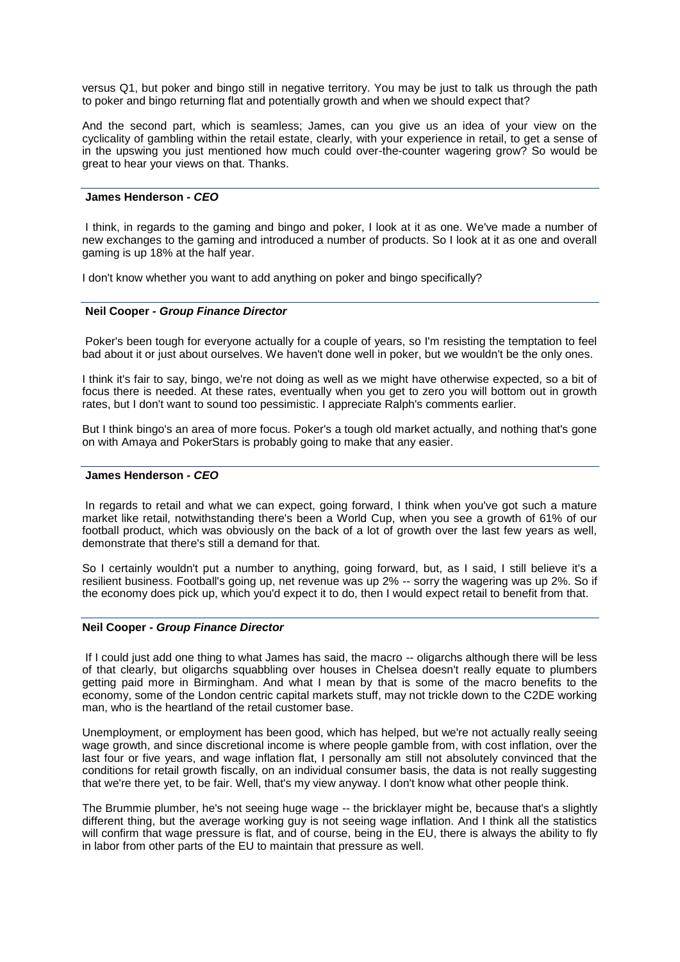versus Q1, but poker and bingo still in negative territory. You may be just to talk us through the path to poker and bingo returning flat and potentially growth and when we should expect that?

And the second part, which is seamless; James, can you give us an idea of your view on the cyclicality of gambling within the retail estate, clearly, with your experience in retail, to get a sense of in the upswing you just mentioned how much could over-the-counter wagering grow? So would be great to hear your views on that. Thanks.

### **James Henderson** *- CEO*

I think, in regards to the gaming and bingo and poker, I look at it as one. We've made a number of new exchanges to the gaming and introduced a number of products. So I look at it as one and overall gaming is up 18% at the half year.

I don't know whether you want to add anything on poker and bingo specifically?

### **Neil Cooper** *- Group Finance Director*

Poker's been tough for everyone actually for a couple of years, so I'm resisting the temptation to feel bad about it or just about ourselves. We haven't done well in poker, but we wouldn't be the only ones.

I think it's fair to say, bingo, we're not doing as well as we might have otherwise expected, so a bit of focus there is needed. At these rates, eventually when you get to zero you will bottom out in growth rates, but I don't want to sound too pessimistic. I appreciate Ralph's comments earlier.

But I think bingo's an area of more focus. Poker's a tough old market actually, and nothing that's gone on with Amaya and PokerStars is probably going to make that any easier.

#### **James Henderson** *- CEO*

In regards to retail and what we can expect, going forward, I think when you've got such a mature market like retail, notwithstanding there's been a World Cup, when you see a growth of 61% of our football product, which was obviously on the back of a lot of growth over the last few years as well, demonstrate that there's still a demand for that.

So I certainly wouldn't put a number to anything, going forward, but, as I said, I still believe it's a resilient business. Football's going up, net revenue was up 2% -- sorry the wagering was up 2%. So if the economy does pick up, which you'd expect it to do, then I would expect retail to benefit from that.

#### **Neil Cooper** *- Group Finance Director*

If I could just add one thing to what James has said, the macro -- oligarchs although there will be less of that clearly, but oligarchs squabbling over houses in Chelsea doesn't really equate to plumbers getting paid more in Birmingham. And what I mean by that is some of the macro benefits to the economy, some of the London centric capital markets stuff, may not trickle down to the C2DE working man, who is the heartland of the retail customer base.

Unemployment, or employment has been good, which has helped, but we're not actually really seeing wage growth, and since discretional income is where people gamble from, with cost inflation, over the last four or five years, and wage inflation flat, I personally am still not absolutely convinced that the conditions for retail growth fiscally, on an individual consumer basis, the data is not really suggesting that we're there yet, to be fair. Well, that's my view anyway. I don't know what other people think.

The Brummie plumber, he's not seeing huge wage -- the bricklayer might be, because that's a slightly different thing, but the average working guy is not seeing wage inflation. And I think all the statistics will confirm that wage pressure is flat, and of course, being in the EU, there is always the ability to fly in labor from other parts of the EU to maintain that pressure as well.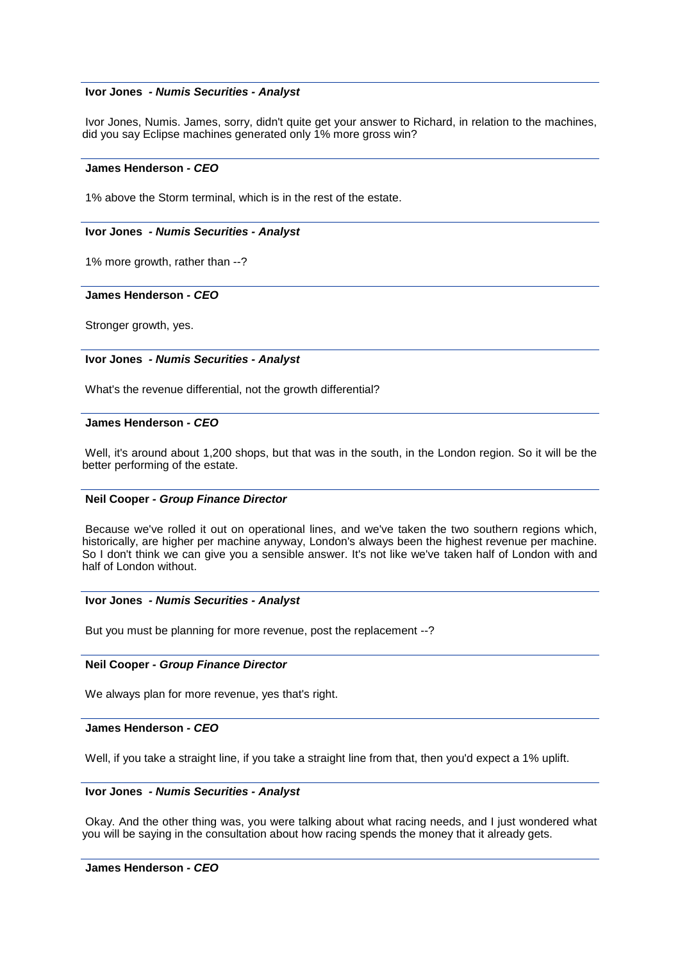#### **Ivor Jones** *- Numis Securities - Analyst*

Ivor Jones, Numis. James, sorry, didn't quite get your answer to Richard, in relation to the machines, did you say Eclipse machines generated only 1% more gross win?

### **James Henderson** *- CEO*

1% above the Storm terminal, which is in the rest of the estate.

### **Ivor Jones** *- Numis Securities - Analyst*

1% more growth, rather than --?

#### **James Henderson** *- CEO*

Stronger growth, yes.

#### **Ivor Jones** *- Numis Securities - Analyst*

What's the revenue differential, not the growth differential?

#### **James Henderson** *- CEO*

Well, it's around about 1,200 shops, but that was in the south, in the London region. So it will be the better performing of the estate.

### **Neil Cooper** *- Group Finance Director*

Because we've rolled it out on operational lines, and we've taken the two southern regions which, historically, are higher per machine anyway, London's always been the highest revenue per machine. So I don't think we can give you a sensible answer. It's not like we've taken half of London with and half of London without.

#### **Ivor Jones** *- Numis Securities - Analyst*

But you must be planning for more revenue, post the replacement --?

#### **Neil Cooper** *- Group Finance Director*

We always plan for more revenue, yes that's right.

#### **James Henderson** *- CEO*

Well, if you take a straight line, if you take a straight line from that, then you'd expect a 1% uplift.

#### **Ivor Jones** *- Numis Securities - Analyst*

Okay. And the other thing was, you were talking about what racing needs, and I just wondered what you will be saying in the consultation about how racing spends the money that it already gets.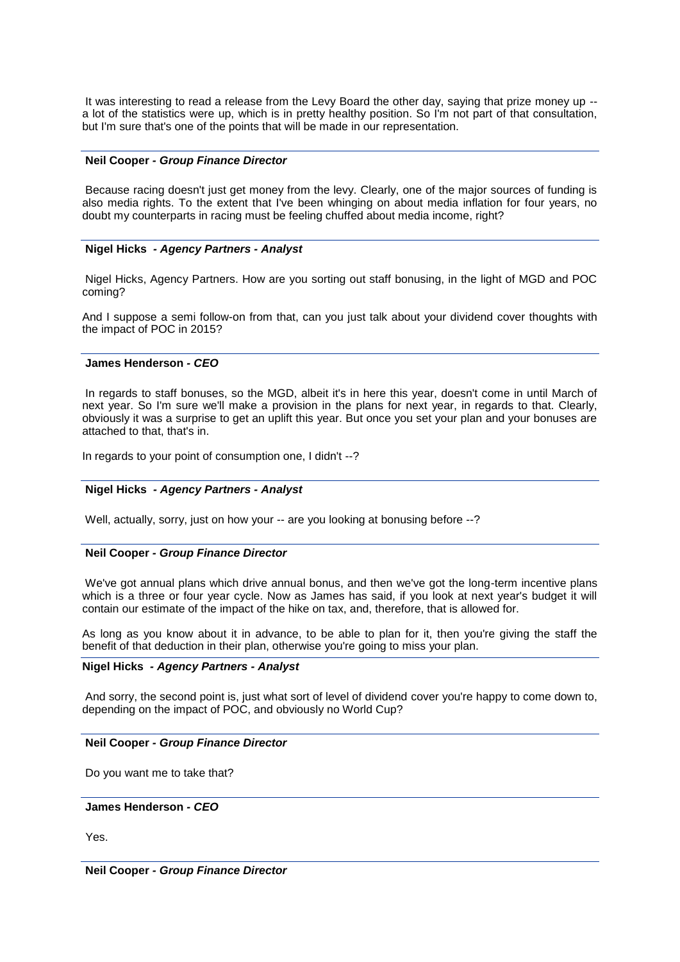It was interesting to read a release from the Levy Board the other day, saying that prize money up - a lot of the statistics were up, which is in pretty healthy position. So I'm not part of that consultation, but I'm sure that's one of the points that will be made in our representation.

#### **Neil Cooper** *- Group Finance Director*

Because racing doesn't just get money from the levy. Clearly, one of the major sources of funding is also media rights. To the extent that I've been whinging on about media inflation for four years, no doubt my counterparts in racing must be feeling chuffed about media income, right?

### **Nigel Hicks** *- Agency Partners - Analyst*

Nigel Hicks, Agency Partners. How are you sorting out staff bonusing, in the light of MGD and POC coming?

And I suppose a semi follow-on from that, can you just talk about your dividend cover thoughts with the impact of POC in 2015?

### **James Henderson** *- CEO*

In regards to staff bonuses, so the MGD, albeit it's in here this year, doesn't come in until March of next year. So I'm sure we'll make a provision in the plans for next year, in regards to that. Clearly, obviously it was a surprise to get an uplift this year. But once you set your plan and your bonuses are attached to that, that's in.

In regards to your point of consumption one, I didn't --?

### **Nigel Hicks** *- Agency Partners - Analyst*

Well, actually, sorry, just on how your -- are you looking at bonusing before --?

### **Neil Cooper** *- Group Finance Director*

We've got annual plans which drive annual bonus, and then we've got the long-term incentive plans which is a three or four year cycle. Now as James has said, if you look at next year's budget it will contain our estimate of the impact of the hike on tax, and, therefore, that is allowed for.

As long as you know about it in advance, to be able to plan for it, then you're giving the staff the benefit of that deduction in their plan, otherwise you're going to miss your plan.

### **Nigel Hicks** *- Agency Partners - Analyst*

And sorry, the second point is, just what sort of level of dividend cover you're happy to come down to, depending on the impact of POC, and obviously no World Cup?

### **Neil Cooper** *- Group Finance Director*

Do you want me to take that?

# **James Henderson** *- CEO*

Yes.

**Neil Cooper** *- Group Finance Director*